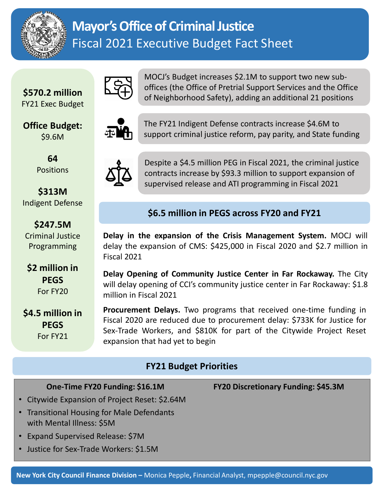

# **Mayor's Office of Criminal Justice** Fiscal 2021 Executive Budget Fact Sheet

**\$570.2 million** FY21 Exec Budget

**Office Budget:**  \$9.6M

> **64**  Positions

**\$313M**  Indigent Defense

**\$247.5M**  Criminal Justice Programming

**\$2 million in PEGS** For FY20

**\$4.5 million in PEGS** For FY21



MOCJ's Budget increases \$2.1M to support two new suboffices (the Office of Pretrial Support Services and the Office of Neighborhood Safety), adding an additional 21 positions



The FY21 Indigent Defense contracts increase \$4.6M to support criminal justice reform, pay parity, and State funding



Despite a \$4.5 million PEG in Fiscal 2021, the criminal justice contracts increase by \$93.3 million to support expansion of supervised release and ATI programming in Fiscal 2021

## **\$6.5 million in PEGS across FY20 and FY21**

**Delay in the expansion of the Crisis Management System.** MOCJ will delay the expansion of CMS: \$425,000 in Fiscal 2020 and \$2.7 million in Fiscal 2021

**Delay Opening of Community Justice Center in Far Rockaway.** The City will delay opening of CCI's community justice center in Far Rockaway: \$1.8 million in Fiscal 2021

**Procurement Delays.** Two programs that received one-time funding in Fiscal 2020 are reduced due to procurement delay: \$733K for Justice for Sex-Trade Workers, and \$810K for part of the Citywide Project Reset expansion that had yet to begin

### **FY21 Budget Priorities**

**One-Time FY20 Funding: \$16.1M**

- Citywide Expansion of Project Reset: \$2.64M
- Transitional Housing for Male Defendants with Mental Illness: \$5M
- Expand Supervised Release: \$7M
- Justice for Sex-Trade Workers: \$1.5M

**FY20 Discretionary Funding: \$45.3M**